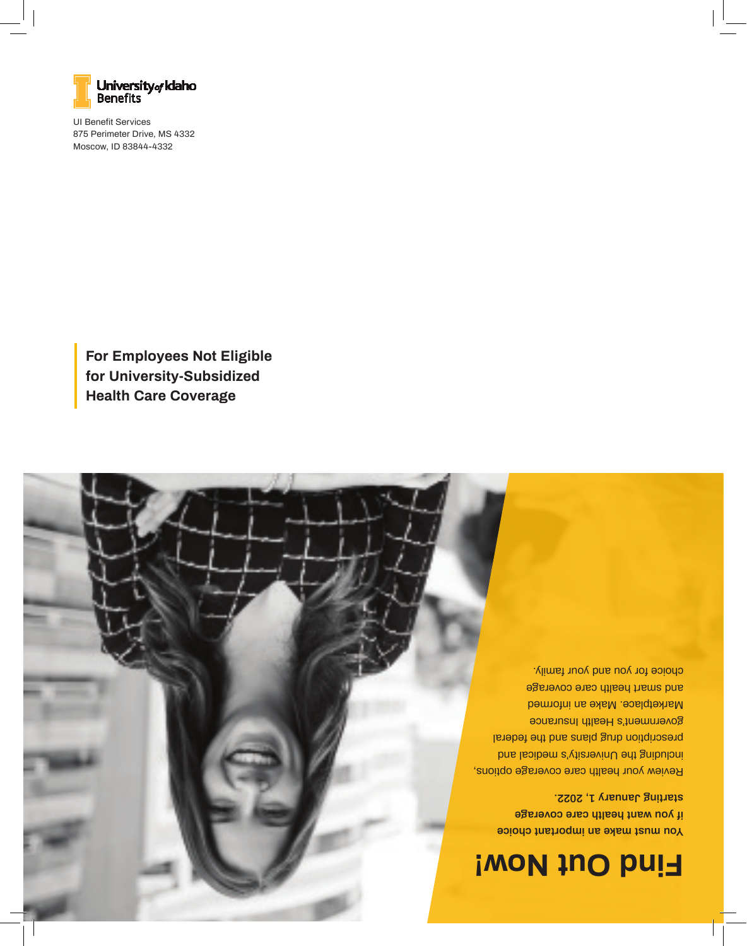

**You must make an important choice if you want health care coverage starting January 1, 2022.** 

Review your health care coverage options, including the University's medical and prescription drug plans and the federal government's Health Insurance Marketplace. Make an informed and smart health care coverage choice for you and your family.

**For Employees Not Eligible for University-Subsidized Health Care Coverage**

UI Benefit Services 875 Perimeter Drive, MS 4332 Moscow, ID 83844-4332

**Benefits** 

University<sub>of</sub> Idaho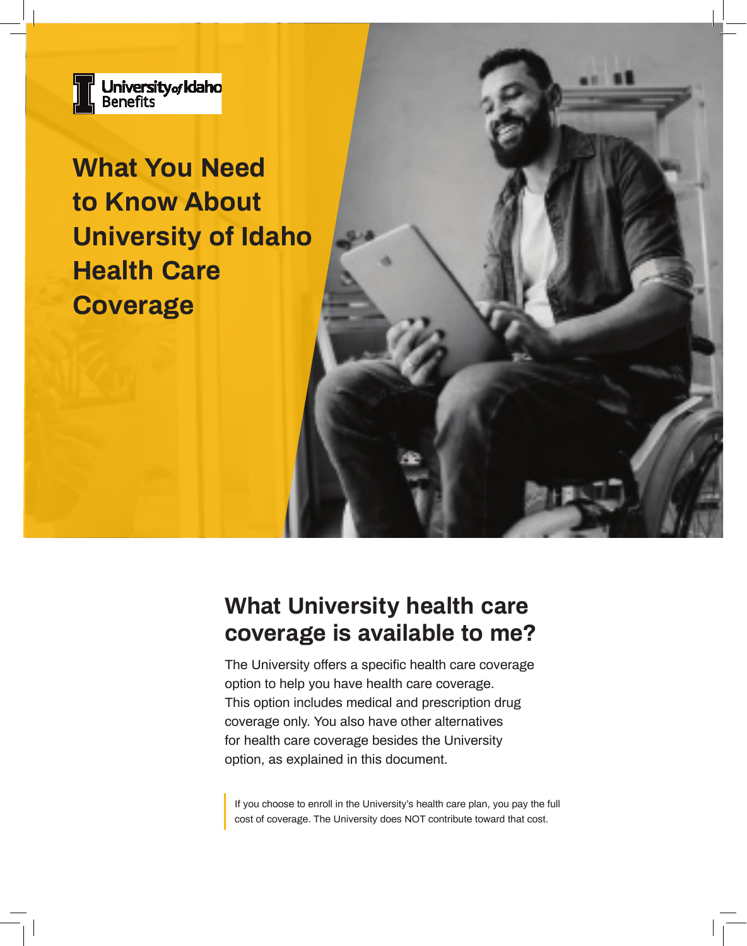

**What You Need to Know About University of Idaho Health Care Coverage**

# **What University health care coverage is available to me?**

The University offers a specific health care coverage option to help you have health care coverage. This option includes medical and prescription drug coverage only. You also have other alternatives for health care coverage besides the University option, as explained in this document.

If you choose to enroll in the University's health care plan, you pay the full cost of coverage. The University does NOT contribute toward that cost.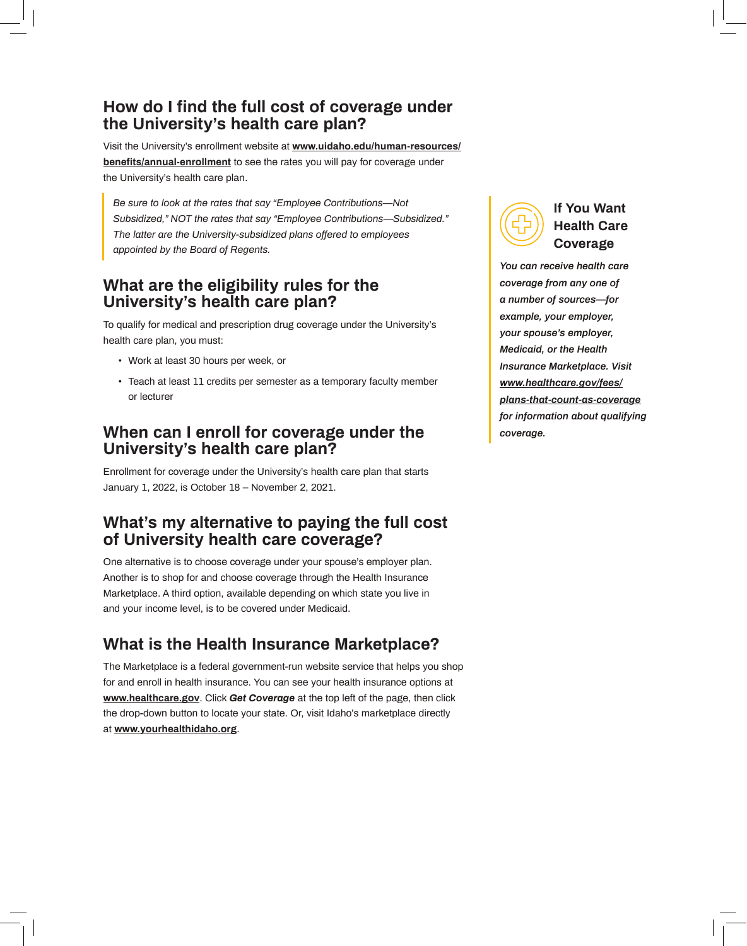#### **How do I find the full cost of coverage under the University's health care plan?**

Visit the University's enrollment website at **www.uidaho.edu/human-resources/ benefits/annual-enrollment** to see the rates you will pay for coverage under the University's health care plan.

*Be sure to look at the rates that say "Employee Contributions—Not Subsidized," NOT the rates that say "Employee Contributions—Subsidized." The latter are the University-subsidized plans offered to employees appointed by the Board of Regents.*

#### **What are the eligibility rules for the University's health care plan?**

To qualify for medical and prescription drug coverage under the University's health care plan, you must:

- Work at least 30 hours per week, or
- Teach at least 11 credits per semester as a temporary faculty member or lecturer

#### **When can I enroll for coverage under the University's health care plan?**

Enrollment for coverage under the University's health care plan that starts January 1, 2022, is October 18 – November 2, 2021.

### **What's my alternative to paying the full cost of University health care coverage?**

One alternative is to choose coverage under your spouse's employer plan. Another is to shop for and choose coverage through the Health Insurance Marketplace. A third option, available depending on which state you live in and your income level, is to be covered under Medicaid.

## **What is the Health Insurance Marketplace?**

The Marketplace is a federal government-run website service that helps you shop for and enroll in health insurance. You can see your health insurance options at **www.healthcare.gov**. Click *Get Coverage* at the top left of the page, then click the drop-down button to locate your state. Or, visit Idaho's marketplace directly at **www.yourhealthidaho.org**.



#### **If You Want Health Care Coverage**

*You can receive health care coverage from any one of a number of sources—for example, your employer, your spouse's employer, Medicaid, or the Health Insurance Marketplace. Visit www.healthcare.gov/fees/ plans-that-count-as-coverage for information about qualifying coverage.*